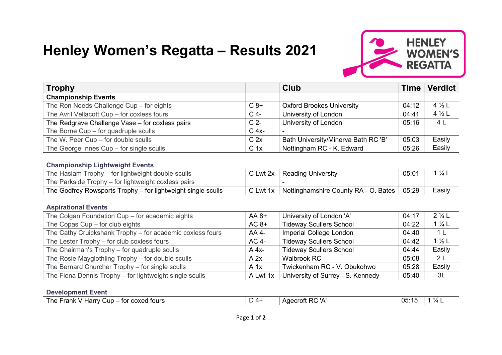# Henley Women's Regatta – Results 2021



| <b>Trophy</b>                                   |                 | <b>Club</b>                         | Time  | Verdict           |
|-------------------------------------------------|-----------------|-------------------------------------|-------|-------------------|
| <b>Championship Events</b>                      |                 |                                     |       |                   |
| The Ron Needs Challenge Cup - for eights        | $C_8+$          | <b>Oxford Brookes University</b>    | 04:12 | 4 $\frac{1}{2}$ L |
| The Avril Vellacott Cup - for coxless fours     | $C$ 4-          | University of London                | 04:41 | $4\frac{1}{2}$ L  |
| The Redgrave Challenge Vase - for coxless pairs | C <sub>2</sub>  | University of London                | 05:16 | 4 L               |
| The Borne Cup - for quadruple sculls            | $C$ 4x-         |                                     |       |                   |
| The W. Peer Cup - for double sculls             | C <sub>2x</sub> | Bath University/Minerva Bath RC 'B' | 05:03 | Easily            |
| The George Innes $Cup$ – for single sculls      | C <sub>1x</sub> | Nottingham RC - K. Edward           | 05:26 | Easily            |

### Championship Lightweight Events

| The Haslam Trophy – for lightweight double sculls            | C Lwt 2x | Reading University                                | 05:01 |        |
|--------------------------------------------------------------|----------|---------------------------------------------------|-------|--------|
| The Parkside Trophy – for lightweight coxless pairs          |          |                                                   |       |        |
| The Godfrey Rowsports Trophy - for lightweight single sculls | C Lwt 1x | <sup>1</sup> Nottinghamshire County RA - O. Bates | 05:29 | Easily |

#### Aspirational Events

| The Colgan Foundation Cup - for academic eights           | $AA 8+$  | University of London 'A'          | 04:17 | $2\frac{1}{4}$ L |
|-----------------------------------------------------------|----------|-----------------------------------|-------|------------------|
| The Copas Cup - for club eights                           | $AC 8+$  | <b>Tideway Scullers School</b>    | 04:22 | $1\frac{1}{4}$   |
| The Cathy Cruickshank Trophy - for academic coxless fours | AA 4-    | Imperial College London           | 04:40 | 1 L              |
| The Lester Trophy - for club coxless fours                | AC 4-    | <b>Tideway Scullers School</b>    | 04:42 | $1\frac{1}{2}$ L |
| The Chairman's Trophy – for quadruple sculls              | $A$ 4x-  | <b>Tideway Scullers School</b>    | 04:44 | Easily           |
| The Rosie Mayglothling Trophy – for double sculls         | A 2x     | <b>Walbrook RC</b>                | 05:08 | 2 <sub>L</sub>   |
| The Bernard Churcher Trophy - for single sculls           | $A$ 1x   | Twickenham RC - V. Obukohwo       | 05:28 | Easily           |
| The Fiona Dennis Trophy - for lightweight single sculls   | A Lwt 1x | University of Surrey - S. Kennedy | 05:40 | 3L               |

#### Development Event

| coxed<br>' fours<br>Harry<br>'he .<br>- upٽ<br>$- - -$<br>TO!<br>$\mathbf{v}$<br>ı dı in | - 4 ( | .<br>$\Box$ r<br>∩acrot<br>.<br>. | 05 | , , |
|------------------------------------------------------------------------------------------|-------|-----------------------------------|----|-----|